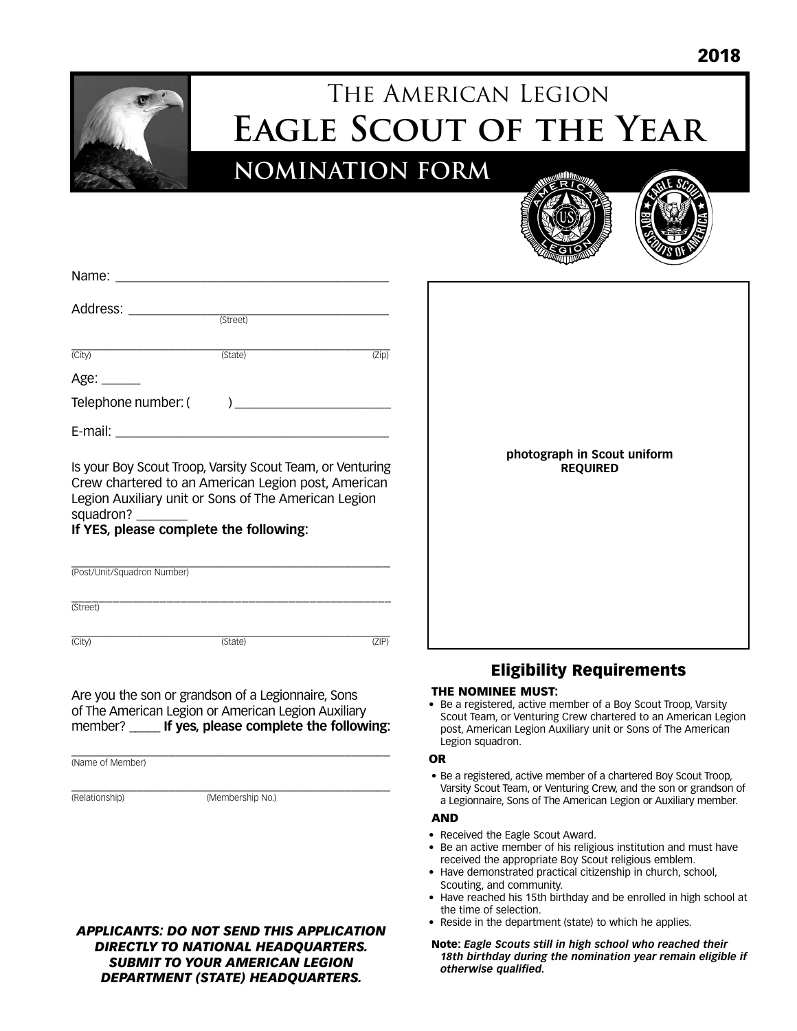

# The American Legion **Eagle Scout of the Year**

**NOMINATION FORM**





| Name:               |          |       |
|---------------------|----------|-------|
| Address:            |          |       |
|                     | (Street) |       |
| $\overline{(City)}$ | (State)  | (Zip) |
| Age: ______         |          |       |
| Telephone number: ( |          |       |
| E-mail:             |          |       |

Is your Boy Scout Troop, Varsity Scout Team, or Venturing Crew chartered to an American Legion post, American Legion Auxiliary unit or Sons of The American Legion squadron?

#### **If YES, please complete the following:**

| (Post/Unit/Squadron Number) |         |                  |
|-----------------------------|---------|------------------|
| (Street)                    |         |                  |
| $\overline{(City)}$         | (State) | 7IP <sub>1</sub> |

#### Are you the son or grandson of a Legionnaire, Sons of The American Legion or American Legion Auxiliary member? \_\_\_\_\_ **If yes, please complete the following:**

\_\_\_\_\_\_\_\_\_\_\_\_\_\_\_\_\_\_\_\_\_\_\_\_\_\_\_\_\_\_\_\_\_\_\_\_\_\_\_\_\_\_\_\_\_\_\_\_\_ (Name of Member)

\_\_\_\_\_\_\_\_\_\_\_\_\_\_\_\_\_\_\_\_\_\_\_\_\_\_\_\_\_\_\_\_\_\_\_\_\_\_\_\_\_\_\_\_\_\_\_\_\_ (Relationship) (Membership No.)

#### *APPLICANTS: DO NOT SEND THIS APPLICATION DIRECTLY TO NATIONAL HEADQUARTERS. SUBMIT TO YOUR AMERICAN LEGION DEPARTMENT (STATE) HEADQUARTERS.*



## Eligibility Requirements

#### THE NOMINEE MUST:

• Be a registered, active member of a Boy Scout Troop, Varsity Scout Team, or Venturing Crew chartered to an American Legion post, American Legion Auxiliary unit or Sons of The American Legion squadron.

#### OR

• Be a registered, active member of a chartered Boy Scout Troop, Varsity Scout Team, or Venturing Crew, and the son or grandson of a Legionnaire, Sons of The American Legion or Auxiliary member.

#### AND

- Received the Eagle Scout Award.
- Be an active member of his religious institution and must have received the appropriate Boy Scout religious emblem.
- Have demonstrated practical citizenship in church, school, Scouting, and community.
- Have reached his 15th birthday and be enrolled in high school at the time of selection.
- Reside in the department (state) to which he applies.
- Note: *Eagle Scouts still in high school who reached their 18th birthday during the nomination year remain eligible if otherwise qualified.*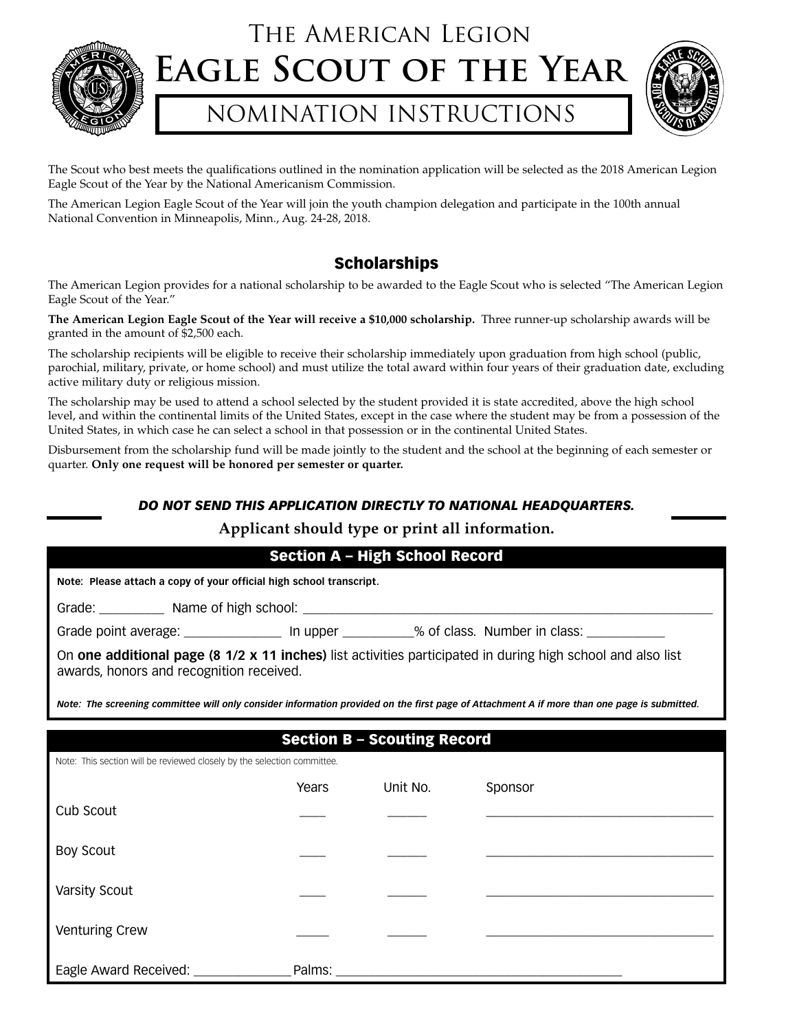

## The American Legion **Eagle Scout of the Year**

## NOMINATION INSTRUCTIONS



The Scout who best meets the qualifications outlined in the nomination application will be selected as the 2018 American Legion Eagle Scout of the Year by the National Americanism Commission.

The American Legion Eagle Scout of the Year will join the youth champion delegation and participate in the 100th annual National Convention in Minneapolis, Minn., Aug. 24-28, 2018.

## Scholarships

The American Legion provides for a national scholarship to be awarded to the Eagle Scout who is selected "The American Legion Eagle Scout of the Year."

**The American Legion Eagle Scout of the Year will receive a \$10,000 scholarship.** Three runner-up scholarship awards will be granted in the amount of \$2,500 each.

The scholarship recipients will be eligible to receive their scholarship immediately upon graduation from high school (public, parochial, military, private, or home school) and must utilize the total award within four years of their graduation date, excluding active military duty or religious mission.

The scholarship may be used to attend a school selected by the student provided it is state accredited, above the high school level, and within the continental limits of the United States, except in the case where the student may be from a possession of the United States, in which case he can select a school in that possession or in the continental United States.

Disbursement from the scholarship fund will be made jointly to the student and the school at the beginning of each semester or quarter. **Only one request will be honored per semester or quarter.**

### *DO NOT SEND THIS APPLICATION DIRECTLY TO NATIONAL HEADQUARTERS.*

### **Applicant should type or print all information.**

|                                                                                                                                                         |        | <b>Section A - High School Record</b> |                                                                                                                                             |
|---------------------------------------------------------------------------------------------------------------------------------------------------------|--------|---------------------------------------|---------------------------------------------------------------------------------------------------------------------------------------------|
| Note: Please attach a copy of your official high school transcript.                                                                                     |        |                                       |                                                                                                                                             |
|                                                                                                                                                         |        |                                       |                                                                                                                                             |
| Grade point average: _________________ In upper __________% of class. Number in class: ____________                                                     |        |                                       |                                                                                                                                             |
| On one additional page (8 1/2 x 11 inches) list activities participated in during high school and also list<br>awards, honors and recognition received. |        |                                       |                                                                                                                                             |
|                                                                                                                                                         |        |                                       | Note: The screening committee will only consider information provided on the first page of Attachment A if more than one page is submitted. |
|                                                                                                                                                         |        | <b>Section B - Scouting Record</b>    |                                                                                                                                             |
| Note: This section will be reviewed closely by the selection committee.                                                                                 |        |                                       |                                                                                                                                             |
|                                                                                                                                                         | Years  | Unit No.                              | Sponsor                                                                                                                                     |
| Cub Scout                                                                                                                                               |        |                                       |                                                                                                                                             |
| <b>Boy Scout</b>                                                                                                                                        |        |                                       |                                                                                                                                             |
| <b>Varsity Scout</b>                                                                                                                                    |        |                                       |                                                                                                                                             |
| <b>Venturing Crew</b>                                                                                                                                   |        |                                       |                                                                                                                                             |
| Eagle Award Received: ________                                                                                                                          | Palms: |                                       |                                                                                                                                             |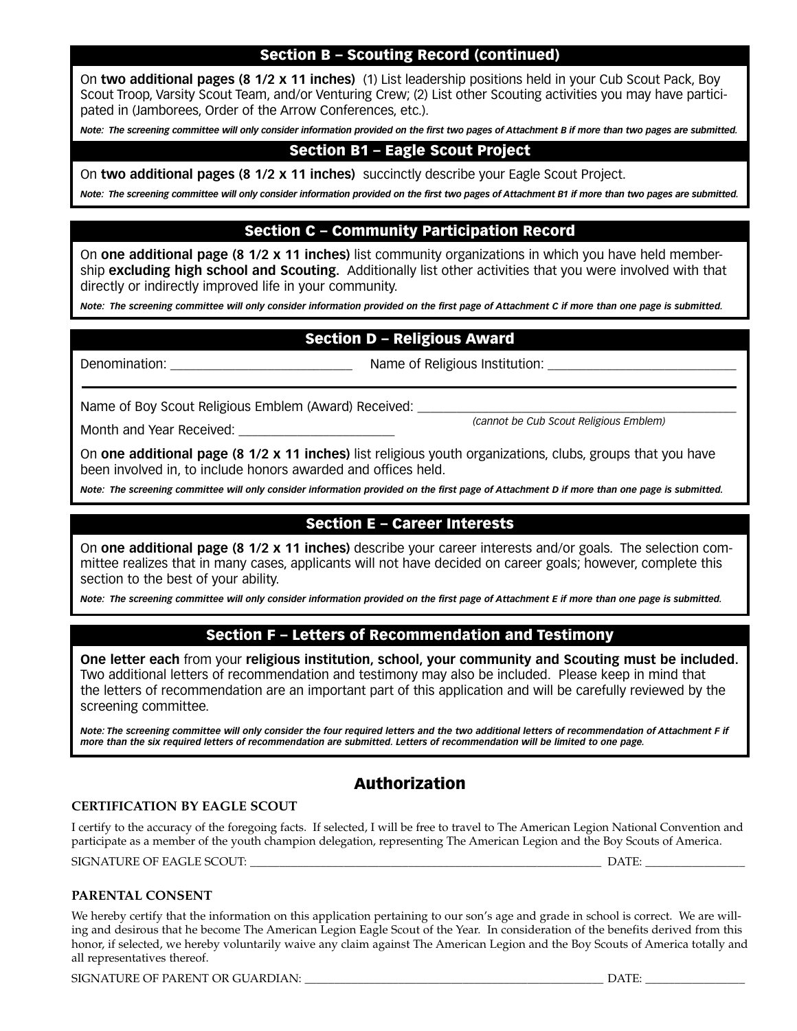## Section B – Scouting Record (continued)

On **two additional pages (8 1/2 x 11 inches)** (1) List leadership positions held in your Cub Scout Pack, Boy Scout Troop, Varsity Scout Team, and/or Venturing Crew; (2) List other Scouting activities you may have participated in (Jamborees, Order of the Arrow Conferences, etc.).

*Note: The screening committee will only consider information provided on the first two pages of Attachment B if more than two pages are submitted.*

## Section B1 – Eagle Scout Project

On **two additional pages (8 1/2 x 11 inches)** succinctly describe your Eagle Scout Project.

*Note: The screening committee will only consider information provided on the first two pages of Attachment B1 if more than two pages are submitted.*

## Section C – Community Participation Record

On **one additional page (8 1/2 x 11 inches)** list community organizations in which you have held membership **excluding high school and Scouting.** Additionally list other activities that you were involved with that directly or indirectly improved life in your community.

*Note: The screening committee will only consider information provided on the first page of Attachment C if more than one page is submitted.*

## Section D – Religious Award

Month and Year Received:

Denomination: \_\_\_\_\_\_\_\_\_\_\_\_\_\_\_\_\_\_\_\_\_\_\_\_\_\_\_\_ Name of Religious Institution: \_\_\_\_\_\_\_\_\_\_\_\_\_\_\_\_\_\_\_\_\_\_\_\_\_\_\_\_\_

Name of Boy Scout Religious Emblem (Award) Received: \_\_\_\_\_\_\_\_

*(cannot be Cub Scout Religious Emblem)*

On **one additional page (8 1/2 x 11 inches)** list religious youth organizations, clubs, groups that you have been involved in, to include honors awarded and offices held.

*Note: The screening committee will only consider information provided on the first page of Attachment D if more than one page is submitted.*

### Section E – Career Interests

On **one additional page (8 1/2 x 11 inches)** describe your career interests and/or goals. The selection committee realizes that in many cases, applicants will not have decided on career goals; however, complete this section to the best of your ability.

*Note: The screening committee will only consider information provided on the first page of Attachment E if more than one page is submitted.*

### Section F – Letters of Recommendation and Testimony

**One letter each** from your **religious institution, school, your community and Scouting must be included.** Two additional letters of recommendation and testimony may also be included. Please keep in mind that the letters of recommendation are an important part of this application and will be carefully reviewed by the screening committee.

*Note: The screening committee will only consider the four required letters and the two additional letters of recommendation of Attachment F if more than the six required letters of recommendation are submitted. Letters of recommendation will be limited to one page.*

## Authorization

#### **CERTIFICATION BY EAGLE SCOUT**

I certify to the accuracy of the foregoing facts. If selected, I will be free to travel to The American Legion National Convention and participate as a member of the youth champion delegation, representing The American Legion and the Boy Scouts of America. SIGNATURE OF EAGLE SCOUT: \_\_\_\_\_\_\_\_\_\_\_\_\_\_\_\_\_\_\_\_\_\_\_\_\_\_\_\_\_\_\_\_\_\_\_\_\_\_\_\_\_\_\_\_\_\_\_\_\_\_\_\_\_\_\_\_\_\_\_\_ DATE: \_\_\_\_\_\_\_\_\_\_\_\_\_\_\_\_\_

#### **PARENTAL CONSENT**

We hereby certify that the information on this application pertaining to our son's age and grade in school is correct. We are willing and desirous that he become The American Legion Eagle Scout of the Year. In consideration of the benefits derived from this honor, if selected, we hereby voluntarily waive any claim against The American Legion and the Boy Scouts of America totally and all representatives thereof.

SIGNATURE OF PARENT OR GUARDIAN: \_\_\_\_\_\_\_\_\_\_\_\_\_\_\_\_\_\_\_\_\_\_\_\_\_\_\_\_\_\_\_\_\_\_\_\_\_\_\_\_\_\_\_\_\_\_\_\_\_\_\_ DATE: \_\_\_\_\_\_\_\_\_\_\_\_\_\_\_\_\_